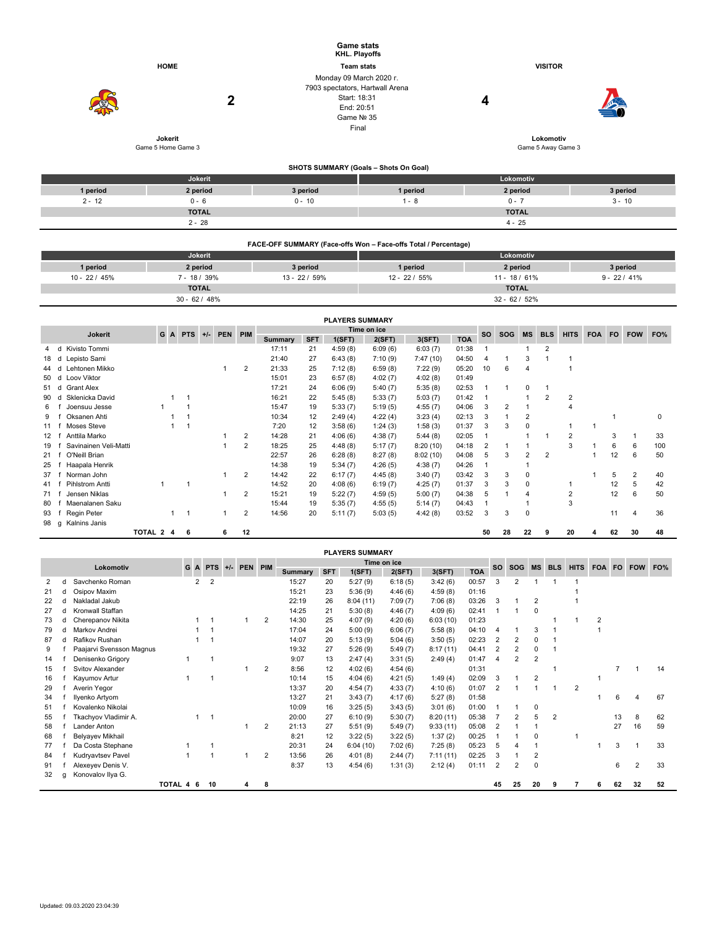|          |                    | <b>Game stats</b><br>KHL. Playoffs                                                                              |                                       |                    |          |
|----------|--------------------|-----------------------------------------------------------------------------------------------------------------|---------------------------------------|--------------------|----------|
|          | <b>HOME</b>        | <b>Team stats</b>                                                                                               |                                       | <b>VISITOR</b>     |          |
|          | 2                  | Monday 09 March 2020 r.<br>7903 spectators, Hartwall Arena<br>Start: 18:31<br>End: 20:51<br>Game Nº 35<br>Final |                                       | 4                  | 50       |
|          | Jokerit            |                                                                                                                 |                                       | Lokomotiv          |          |
|          | Game 5 Home Game 3 |                                                                                                                 |                                       | Game 5 Away Game 3 |          |
|          |                    |                                                                                                                 | SHOTS SUMMARY (Goals - Shots On Goal) |                    |          |
|          | Jokerit            |                                                                                                                 |                                       | Lokomotiv          |          |
| 1 period | 2 period           | 3 period                                                                                                        | 1 period                              | 2 period           | 3 period |
| $2 - 12$ | $0 - 6$            | $0 - 10$                                                                                                        | $1 - 8$                               | $0 - 7$            | $3 - 10$ |

| FACE-OFF SUMMARY (Face-offs Won - Face-offs Total / Percentage) |                 |               |                |                 |               |  |  |  |  |  |  |  |  |
|-----------------------------------------------------------------|-----------------|---------------|----------------|-----------------|---------------|--|--|--|--|--|--|--|--|
|                                                                 | Jokerit         |               | Lokomotiv      |                 |               |  |  |  |  |  |  |  |  |
| 1 period                                                        | 2 period        | 3 period      | 1 period       | 2 period        | 3 period      |  |  |  |  |  |  |  |  |
| $10 - 22 / 45%$                                                 | $7 - 18/39%$    | $13 - 22/59%$ | $12 - 22/55\%$ | $11 - 18/61\%$  | $9 - 22/41\%$ |  |  |  |  |  |  |  |  |
|                                                                 | <b>TOTAL</b>    |               |                | <b>TOTAL</b>    |               |  |  |  |  |  |  |  |  |
|                                                                 | $30 - 62 / 48%$ |               |                | $32 - 62 / 52%$ |               |  |  |  |  |  |  |  |  |

**TOTAL TOTAL** 2 - 28 4 - 25

|      | <b>PLAYERS SUMMARY</b>                                  |                       |           |  |  |   |  |   |                |         |            |         |         |          |             |    |            |            |            |                |            |    |    |     |
|------|---------------------------------------------------------|-----------------------|-----------|--|--|---|--|---|----------------|---------|------------|---------|---------|----------|-------------|----|------------|------------|------------|----------------|------------|----|----|-----|
|      | Time on ice<br>PEN PIM<br><b>PTS</b><br>G<br>$+/-$<br>A |                       |           |  |  |   |  |   |                |         | <b>SO</b>  |         |         |          | <b>HITS</b> |    | FO.        | <b>FOW</b> | FO%        |                |            |    |    |     |
|      |                                                         | <b>Jokerit</b>        |           |  |  |   |  |   |                | Summary | <b>SFT</b> | 1(SFT)  | 2(SFT)  | 3(SFT)   | <b>TOA</b>  |    | <b>SOG</b> | <b>MS</b>  | <b>BLS</b> |                | <b>FOA</b> |    |    |     |
|      | d                                                       | Kivisto Tommi         |           |  |  |   |  |   |                | 17:11   | 21         | 4:59(8) | 6:09(6) | 6:03(7)  | 01:38       |    |            |            | 2          |                |            |    |    |     |
| 18   | d                                                       | Lepisto Sami          |           |  |  |   |  |   |                | 21:40   | 27         | 6:43(8) | 7:10(9) | 7:47(10) | 04:50       | 4  |            | 3          |            |                |            |    |    |     |
| 44   | d                                                       | Lehtonen Mikko        |           |  |  |   |  |   | 2              | 21:33   | 25         | 7:12(8) | 6:59(8) | 7:22(9)  | 05:20       | 10 | 6          | 4          |            |                |            |    |    |     |
| 50   | d                                                       | Loov Viktor           |           |  |  |   |  |   |                | 15:01   | 23         | 6:57(8) | 4:02(7) | 4:02(8)  | 01:49       |    |            |            |            |                |            |    |    |     |
| 51 d |                                                         | <b>Grant Alex</b>     |           |  |  |   |  |   |                | 17:21   | 24         | 6:06(9) | 5:40(7) | 5:35(8)  | 02:53       |    |            | 0          |            |                |            |    |    |     |
| 90   | d                                                       | Sklenicka David       |           |  |  |   |  |   |                | 16:21   | 22         | 5:45(8) | 5:33(7) | 5:03(7)  | 01:42       |    |            |            | 2          | 2              |            |    |    |     |
| 6    |                                                         | Joensuu Jesse         |           |  |  |   |  |   |                | 15:47   | 19         | 5:33(7) | 5:19(5) | 4:55(7)  | 04:06       | 3  | 2          |            |            | $\overline{4}$ |            |    |    |     |
| 9    |                                                         | Oksanen Ahti          |           |  |  |   |  |   |                | 10:34   | 12         | 2:49(4) | 4:22(4) | 3:23(4)  | 02:13       | 3  |            | 2          |            |                |            |    |    | 0   |
| 11   |                                                         | Moses Steve           |           |  |  |   |  |   |                | 7:20    | 12         | 3:58(6) | 1:24(3) | 1:58(3)  | 01:37       | 3  | 3          | 0          |            |                |            |    |    |     |
| 12   |                                                         | Anttila Marko         |           |  |  |   |  |   | 2              | 14:28   | 21         | 4:06(6) | 4:38(7) | 5:44(8)  | 02:05       |    |            |            |            | $\overline{2}$ |            | 3  |    | 33  |
| 19   |                                                         | Savinainen Veli-Matti |           |  |  |   |  |   | 2              | 18:25   | 25         | 4:48(8) | 5:17(7) | 8:20(10) | 04:18       | 2  |            |            |            | 3              |            | 6  | 6  | 100 |
| 21   |                                                         | O'Neill Brian         |           |  |  |   |  |   |                | 22:57   | 26         | 6:28(8) | 8:27(8) | 8:02(10) | 04:08       | 5  | 3          | 2          | 2          |                |            | 12 | 6  | 50  |
| 25   |                                                         | Haapala Henrik        |           |  |  |   |  |   |                | 14:38   | 19         | 5:34(7) | 4:26(5) | 4:38(7)  | 04:26       |    |            |            |            |                |            |    |    |     |
| 37   |                                                         | Norman John           |           |  |  |   |  |   | 2              | 14:42   | 22         | 6:17(7) | 4:45(8) | 3:40(7)  | 03:42       | 3  | 3          | 0          |            |                |            | 5  | 2  | 40  |
| 41   |                                                         | Pihlstrom Antti       |           |  |  |   |  |   |                | 14:52   | 20         | 4:08(6) | 6:19(7) | 4:25(7)  | 01:37       | 3  | 3          | 0          |            |                |            | 12 | 5  | 42  |
| 71   |                                                         | Jensen Niklas         |           |  |  |   |  |   | 2              | 15:21   | 19         | 5:22(7) | 4:59(5) | 5:00(7)  | 04:38       | 5  |            | 4          |            | 2              |            | 12 | 6  | 50  |
| 80   |                                                         | Maenalanen Saku       |           |  |  |   |  |   |                | 15:44   | 19         | 5:35(7) | 4:55(5) | 5:14(7)  | 04:43       |    |            |            |            | 3              |            |    |    |     |
| 93   |                                                         | Regin Peter           |           |  |  |   |  |   | $\overline{2}$ | 14:56   | 20         | 5:11(7) | 5:03(5) | 4:42(8)  | 03:52       | 3  | 3          | 0          |            |                |            | 11 |    | 36  |
| 98   | q                                                       | Kalnins Janis         |           |  |  |   |  |   |                |         |            |         |         |          |             |    |            |            |            |                |            |    |    |     |
|      |                                                         |                       | TOTAL 2 4 |  |  | 6 |  | 6 | 12             |         |            |         |         |          |             | 50 | 28         | 22         | 9          | 20             | 4          | 62 | 30 | 48  |

|    | <b>PLAYERS SUMMARY</b>                |                          |         |     |                     |  |   |                |                |            |          |         |            |            |                |                |                |                |            |     |    |    |    |
|----|---------------------------------------|--------------------------|---------|-----|---------------------|--|---|----------------|----------------|------------|----------|---------|------------|------------|----------------|----------------|----------------|----------------|------------|-----|----|----|----|
|    | Time on ice<br>G A PTS<br>+/- PEN PIM |                          |         |     |                     |  |   |                |                |            |          | SO.     | <b>SOG</b> | <b>MS</b>  | <b>BLS</b>     | <b>HITS</b>    | <b>FOA</b>     | <b>FO</b>      | <b>FOW</b> | FO% |    |    |    |
|    |                                       | Lokomotiv                |         |     |                     |  |   |                | <b>Summary</b> | <b>SFT</b> | 1(SFT)   | 2(SFT)  | 3(SFT)     | <b>TOA</b> |                |                |                |                |            |     |    |    |    |
| 2  |                                       | Savchenko Roman          |         |     | 2<br>$\overline{2}$ |  |   |                | 15:27          | 20         | 5:27(9)  | 6:18(5) | 3:42(6)    | 00:57      | 3              | $\overline{2}$ |                |                |            |     |    |    |    |
| 21 | d                                     | Osipov Maxim             |         |     |                     |  |   |                | 15:21          | 23         | 5:36(9)  | 4:46(6) | 4:59(8)    | 01:16      |                |                |                |                |            |     |    |    |    |
| 22 |                                       | Nakladal Jakub           |         |     |                     |  |   |                | 22:19          | 26         | 8:04(11) | 7:09(7) | 7:06(8)    | 03:26      | 3              |                | 2              |                |            |     |    |    |    |
| 27 |                                       | Kronwall Staffan         |         |     |                     |  |   |                | 14:25          | 21         | 5:30(8)  | 4:46(7) | 4:09(6)    | 02:41      |                |                | 0              |                |            |     |    |    |    |
| 73 |                                       | Cherepanov Nikita        |         |     |                     |  | 1 | 2              | 14:30          | 25         | 4:07(9)  | 4:20(6) | 6:03(10)   | 01:23      |                |                |                |                |            | 2   |    |    |    |
| 79 | d                                     | Markov Andrei            |         |     |                     |  |   |                | 17:04          | 24         | 5:00(9)  | 6:06(7) | 5:58(8)    | 04:10      | $\overline{4}$ |                | 3              |                |            |     |    |    |    |
| 87 |                                       | Rafikov Rushan           |         |     |                     |  |   |                | 14:07          | 20         | 5:13(9)  | 5:04(6) | 3:50(5)    | 02:23      | 2              | $\overline{2}$ | $\Omega$       |                |            |     |    |    |    |
| 9  |                                       | Paajarvi Svensson Magnus |         |     |                     |  |   |                | 19:32          | 27         | 5:26(9)  | 5:49(7) | 8:17(11)   | 04:41      | $\overline{2}$ | $\overline{2}$ | 0              |                |            |     |    |    |    |
| 14 |                                       | Denisenko Grigory        |         |     |                     |  |   |                | 9:07           | 13         | 2:47(4)  | 3:31(5) | 2:49(4)    | 01:47      | $\overline{4}$ | 2              | 2              |                |            |     |    |    |    |
| 15 |                                       | Svitov Alexander         |         |     |                     |  |   | $\overline{2}$ | 8:56           | 12         | 4:02(6)  | 4:54(6) |            | 01:31      |                |                |                |                |            |     |    |    | 14 |
| 16 |                                       | Kayumov Artur            |         |     |                     |  |   |                | 10:14          | 15         | 4:04(6)  | 4:21(5) | 1:49(4)    | 02:09      | 3              |                | $\overline{2}$ |                |            |     |    |    |    |
| 29 |                                       | Averin Yegor             |         |     |                     |  |   |                | 13:37          | 20         | 4:54(7)  | 4:33(7) | 4:10(6)    | 01:07      | $\overline{2}$ |                |                |                | 2          |     |    |    |    |
| 34 |                                       | Ilvenko Artvom           |         |     |                     |  |   |                | 13:27          | 21         | 3:43(7)  | 4:17(6) | 5:27(8)    | 01:58      |                |                |                |                |            |     | 6  |    | 67 |
| 51 |                                       | Kovalenko Nikolai        |         |     |                     |  |   |                | 10:09          | 16         | 3:25(5)  | 3:43(5) | 3:01(6)    | 01:00      |                |                | 0              |                |            |     |    |    |    |
| 55 |                                       | Tkachyov Vladimir A.     |         |     | $\overline{1}$      |  |   |                | 20:00          | 27         | 6:10(9)  | 5:30(7) | 8:20(11)   | 05:38      |                | 2              | 5              | $\overline{2}$ |            |     | 13 | 8  | 62 |
| 58 |                                       | Lander Anton             |         |     |                     |  |   | $\overline{2}$ | 21:13          | 27         | 5:51(9)  | 5:49(7) | 9:33(11)   | 05:08      | $\overline{2}$ |                |                |                |            |     | 27 | 16 | 59 |
| 68 |                                       | Belyayev Mikhail         |         |     |                     |  |   |                | 8:21           | 12         | 3:22(5)  | 3:22(5) | 1:37(2)    | 00:25      |                |                | 0              |                |            |     |    |    |    |
| 77 |                                       | Da Costa Stephane        |         |     |                     |  |   |                | 20:31          | 24         | 6:04(10) | 7:02(6) | 7:25(8)    | 05:23      | 5              |                |                |                |            |     | 3  |    | 33 |
| 84 |                                       | Kudryavtsev Pavel        |         |     |                     |  |   | $\overline{2}$ | 13:56          | 26         | 4:01(8)  | 2:44(7) | 7:11(11)   | 02:25      | 3              |                | $\overline{2}$ |                |            |     |    |    |    |
| 91 |                                       | Alexeyev Denis V.        |         |     |                     |  |   |                | 8:37           | 13         | 4:54(6)  | 1:31(3) | 2:12(4)    | 01:11      | 2              | $\overline{2}$ | 0              |                |            |     | 6  | 2  | 33 |
| 32 | a                                     | Konovalov Ilya G.        |         |     |                     |  |   |                |                |            |          |         |            |            |                |                |                |                |            |     |    |    |    |
|    |                                       |                          | TOTAL 4 | - 6 | 10                  |  | 4 | 8              |                |            |          |         |            |            | 45             | 25             | 20             | 9              |            | ĥ   | 62 | 32 | 52 |